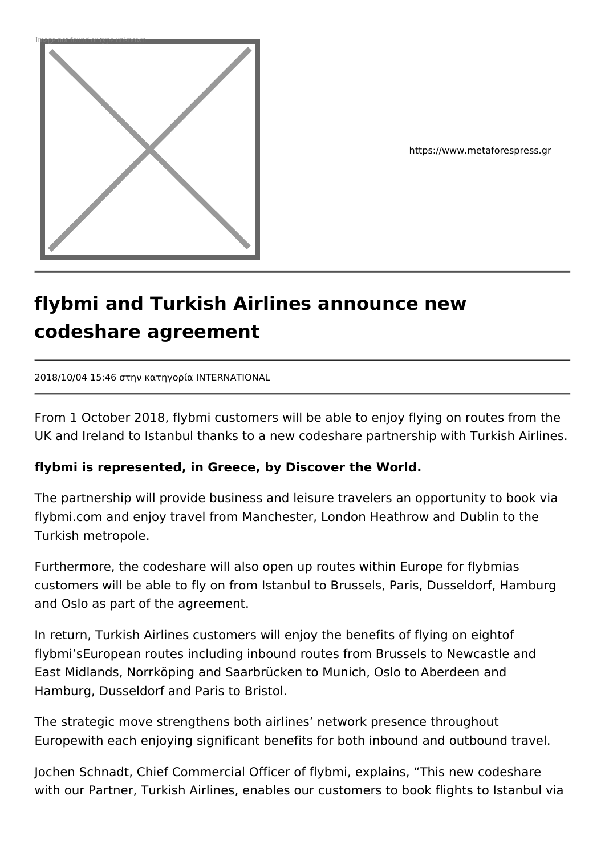

https://www.metaforespress.gr

## **flybmi and Turkish Airlines announce new codeshare agreement**

2018/10/04 15:46 στην κατηγορία INTERNATIONAL

From 1 October 2018, flybmi customers will be able to enjoy flying on routes from the UK and Ireland to Istanbul thanks to a new codeshare partnership with Turkish Airlines.

## **flybmi is represented, in Greece, by Discover the World.**

The partnership will provide business and leisure travelers an opportunity to book via flybmi.com and enjoy travel from Manchester, London Heathrow and Dublin to the Turkish metropole.

Furthermore, the codeshare will also open up routes within Europe for flybmias customers will be able to fly on from Istanbul to Brussels, Paris, Dusseldorf, Hamburg and Oslo as part of the agreement.

In return, Turkish Airlines customers will enjoy the benefits of flying on eightof flybmi'sEuropean routes including inbound routes from Brussels to Newcastle and East Midlands, Norrköping and Saarbrücken to Munich, Oslo to Aberdeen and Hamburg, Dusseldorf and Paris to Bristol.

The strategic move strengthens both airlines' network presence throughout Europewith each enjoying significant benefits for both inbound and outbound travel.

Jochen Schnadt, Chief Commercial Officer of flybmi, explains, "This new codeshare with our Partner, Turkish Airlines, enables our customers to book flights to Istanbul via